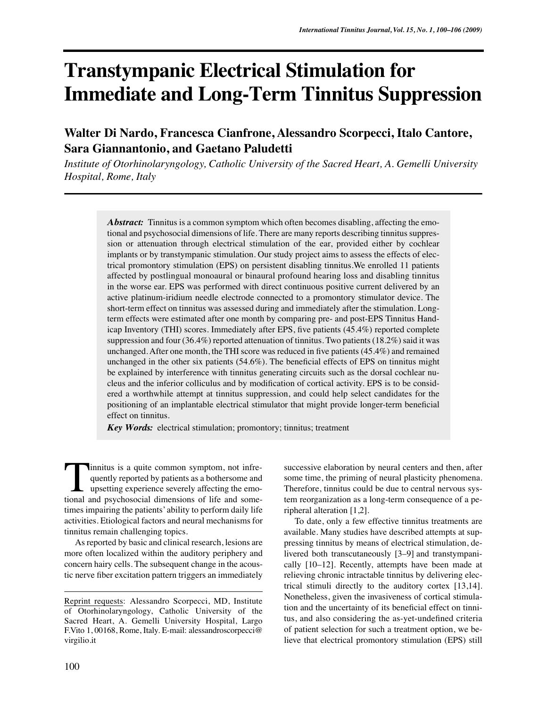# **Transtympanic Electrical Stimulation for Immediate and Long-Term Tinnitus Suppression**

# **Walter Di Nardo, Francesca Cianfrone, Alessandro Scorpecci, Italo Cantore, Sara Giannantonio, and Gaetano Paludetti**

*Institute of Otorhinolaryngology, Catholic University of the Sacred Heart, A. Gemelli University Hospital, Rome, Italy*

> *Abstract:* Tinnitus is a common symptom which often becomes disabling, affecting the emotional and psychosocial dimensions of life. There are many reports describing tinnitus suppression or attenuation through electrical stimulation of the ear, provided either by cochlear implants or by transtympanic stimulation. Our study project aims to assess the effects of electrical promontory stimulation (EPS) on persistent disabling tinnitus.We enrolled 11 patients affected by postlingual monoaural or binaural profound hearing loss and disabling tinnitus in the worse ear. EPS was performed with direct continuous positive current delivered by an active platinum-iridium needle electrode connected to a promontory stimulator device. The short-term effect on tinnitus was assessed during and immediately after the stimulation. Longterm effects were estimated after one month by comparing pre- and post-EPS Tinnitus Handicap Inventory (THI) scores. Immediately after EPS, five patients (45.4%) reported complete suppression and four (36.4%) reported attenuation of tinnitus. Two patients (18.2%) said it was unchanged. After one month, the THI score was reduced in five patients (45.4%) and remained unchanged in the other six patients (54.6%). The beneficial effects of EPS on tinnitus might be explained by interference with tinnitus generating circuits such as the dorsal cochlear nucleus and the inferior colliculus and by modification of cortical activity. EPS is to be considered a worthwhile attempt at tinnitus suppression, and could help select candidates for the positioning of an implantable electrical stimulator that might provide longer-term beneficial effect on tinnitus.

*Key Words:* electrical stimulation; promontory; tinnitus; treatment

innitus is a quite common symptom, not infrequently reported by patients as a bothersome and upsetting experience severely affecting the emo-Innitus is a quite common symptom, not infrequently reported by patients as a bothersome and upsetting experience severely affecting the emotional and psychosocial dimensions of life and sometimes impairing the patients' ability to perform daily life activities. Etiological factors and neural mechanisms for tinnitus remain challenging topics.

As reported by basic and clinical research, lesions are more often localized within the auditory periphery and concern hairy cells. The subsequent change in the acoustic nerve fiber excitation pattern triggers an immediately

successive elaboration by neural centers and then, after some time, the priming of neural plasticity phenomena. Therefore, tinnitus could be due to central nervous system reorganization as a long-term consequence of a peripheral alteration [1,2].

To date, only a few effective tinnitus treatments are available. Many studies have described attempts at suppressing tinnitus by means of electrical stimulation, delivered both transcutaneously [3–9] and transtympanically [10–12]. Recently, attempts have been made at relieving chronic intractable tinnitus by delivering electrical stimuli directly to the auditory cortex [13,14]. Nonetheless, given the invasiveness of cortical stimulation and the uncertainty of its beneficial effect on tinnitus, and also considering the as-yet-undefined criteria of patient selection for such a treatment option, we believe that electrical promontory stimulation (EPS) still

Reprint requests: Alessandro Scorpecci, MD, Institute of Otorhinolaryngology, Catholic University of the Sacred Heart, A. Gemelli University Hospital, Largo F.Vito 1, 00168, Rome, Italy. E-mail: alessandroscorpecci@ virgilio.it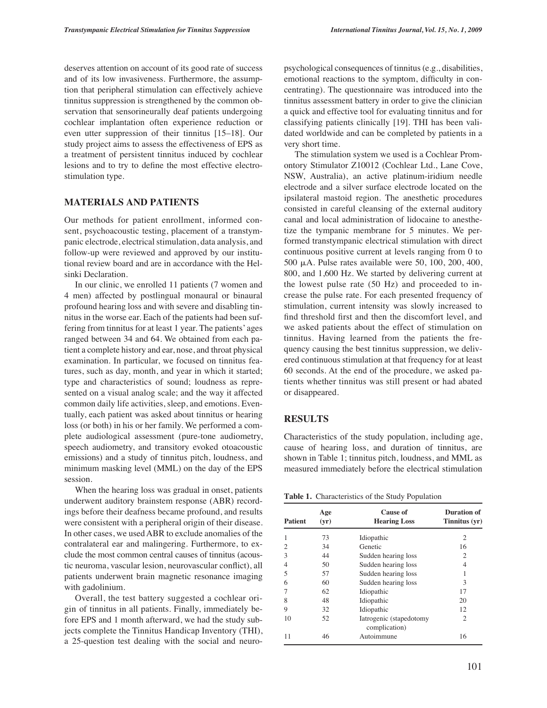deserves attention on account of its good rate of success and of its low invasiveness. Furthermore, the assumption that peripheral stimulation can effectively achieve tinnitus suppression is strengthened by the common observation that sensorineurally deaf patients undergoing cochlear implantation often experience reduction or even utter suppression of their tinnitus [15–18]. Our study project aims to assess the effectiveness of EPS as a treatment of persistent tinnitus induced by cochlear lesions and to try to define the most effective electrostimulation type.

#### **MATERIALS AND PATIENTS**

Our methods for patient enrollment, informed consent, psychoacoustic testing, placement of a transtympanic electrode, electrical stimulation, data analysis, and follow-up were reviewed and approved by our institutional review board and are in accordance with the Helsinki Declaration.

In our clinic, we enrolled 11 patients (7 women and 4 men) affected by postlingual monaural or binaural profound hearing loss and with severe and disabling tinnitus in the worse ear. Each of the patients had been suffering from tinnitus for at least 1 year. The patients' ages ranged between 34 and 64. We obtained from each patient a complete history and ear, nose, and throat physical examination. In particular, we focused on tinnitus features, such as day, month, and year in which it started; type and characteristics of sound; loudness as represented on a visual analog scale; and the way it affected common daily life activities, sleep, and emotions. Eventually, each patient was asked about tinnitus or hearing loss (or both) in his or her family. We performed a complete audiological assessment (pure-tone audiometry, speech audiometry, and transitory evoked otoacoustic emissions) and a study of tinnitus pitch, loudness, and minimum masking level (MML) on the day of the EPS session.

When the hearing loss was gradual in onset, patients underwent auditory brainstem response (ABR) recordings before their deafness became profound, and results were consistent with a peripheral origin of their disease. In other cases, we used ABR to exclude anomalies of the contralateral ear and malingering. Furthermore, to exclude the most common central causes of tinnitus (acoustic neuroma, vascular lesion, neurovascular conflict), all patients underwent brain magnetic resonance imaging with gadolinium.

Overall, the test battery suggested a cochlear origin of tinnitus in all patients. Finally, immediately before EPS and 1 month afterward, we had the study subjects complete the Tinnitus Handicap Inventory (THI), a 25-question test dealing with the social and neuro-

psychological consequences of tinnitus (e.g., disabilities, emotional reactions to the symptom, difficulty in concentrating). The questionnaire was introduced into the tinnitus assessment battery in order to give the clinician a quick and effective tool for evaluating tinnitus and for classifying patients clinically [19]. THI has been validated worldwide and can be completed by patients in a very short time.

The stimulation system we used is a Cochlear Promontory Stimulator Z10012 (Cochlear Ltd., Lane Cove, NSW, Australia), an active platinum-iridium needle electrode and a silver surface electrode located on the ipsilateral mastoid region. The anesthetic procedures consisted in careful cleansing of the external auditory canal and local administration of lidocaine to anesthetize the tympanic membrane for 5 minutes. We performed transtympanic electrical stimulation with direct continuous positive current at levels ranging from 0 to 500  $\mu$ A. Pulse rates available were 50, 100, 200, 400, 800, and 1,600 Hz. We started by delivering current at the lowest pulse rate (50 Hz) and proceeded to increase the pulse rate. For each presented frequency of stimulation, current intensity was slowly increased to find threshold first and then the discomfort level, and we asked patients about the effect of stimulation on tinnitus. Having learned from the patients the frequency causing the best tinnitus suppression, we delivered continuous stimulation at that frequency for at least 60 seconds. At the end of the procedure, we asked patients whether tinnitus was still present or had abated or disappeared.

#### **RESULTS**

Characteristics of the study population, including age, cause of hearing loss, and duration of tinnitus, are shown in Table 1; tinnitus pitch, loudness, and MML as measured immediately before the electrical stimulation

**Table 1.** Characteristics of the Study Population

| <b>Patient</b> | Age<br>(yr) | Cause of<br><b>Hearing Loss</b>          | <b>Duration of</b><br>Tinnitus (yr) |  |
|----------------|-------------|------------------------------------------|-------------------------------------|--|
|                | 73          | Idiopathic                               | 2                                   |  |
| 2              | 34          | Genetic                                  | 16                                  |  |
| 3              | 44          | Sudden hearing loss                      | 2                                   |  |
| 4              | 50          | Sudden hearing loss                      | 4                                   |  |
| 5              | 57          | Sudden hearing loss                      | 1                                   |  |
| 6              | 60          | Sudden hearing loss                      | 3                                   |  |
|                | 62          | Idiopathic                               | 17                                  |  |
| 8              | 48          | Idiopathic                               | 20                                  |  |
| 9              | 32          | Idiopathic                               | 12                                  |  |
| 10             | 52          | Iatrogenic (stapedotomy<br>complication) | $\overline{c}$                      |  |
| 11             | 46          | Autoimmune                               | 16                                  |  |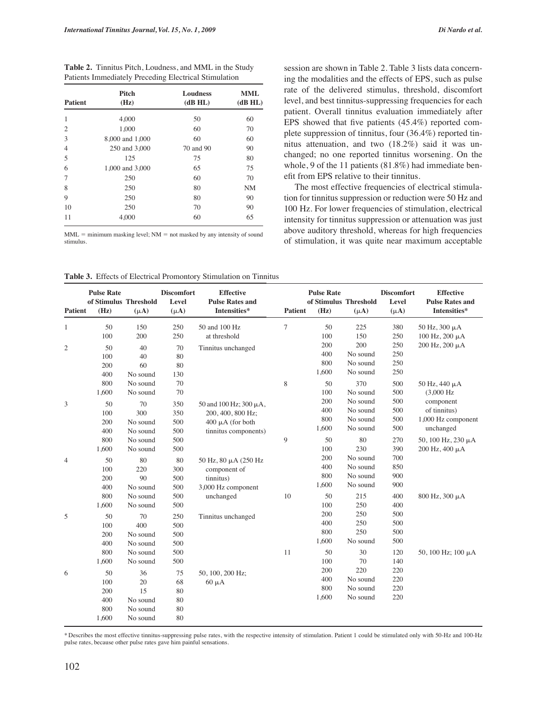**Table 2.** Tinnitus Pitch, Loudness, and MML in the Study Patients Immediately Preceding Electrical Stimulation

| <b>Patient</b> | Pitch<br>(Hz)   | <b>Loudness</b><br>(dB H <sub>L</sub> ) | <b>MML</b><br>(dB HL) |  |
|----------------|-----------------|-----------------------------------------|-----------------------|--|
| 1              | 4,000           | 50                                      | 60                    |  |
| $\overline{2}$ | 1,000           | 60                                      | 70                    |  |
| 3              | 8,000 and 1,000 | 60                                      | 60                    |  |
| $\overline{4}$ | 250 and 3,000   | 70 and 90                               | 90                    |  |
| 5              | 125             | 75                                      | 80                    |  |
| 6              | 1,000 and 3,000 | 65                                      | 75                    |  |
| 7              | 250             | 60                                      | 70                    |  |
| 8              | 250             | 80                                      | <b>NM</b>             |  |
| 9              | 250             | 80                                      | 90                    |  |
| 10             | 250             | 70                                      | 90                    |  |
| 11             | 4,000           | 60                                      | 65                    |  |

 $MML =$  minimum masking level;  $NM =$  not masked by any intensity of sound stimulus.

**Table 3.** Effects of Electrical Promontory Stimulation on Tinnitus

ing the modalities and the effects of EPS, such as pulse rate of the delivered stimulus, threshold, discomfort level, and best tinnitus-suppressing frequencies for each patient. Overall tinnitus evaluation immediately after EPS showed that five patients (45.4%) reported complete suppression of tinnitus, four (36.4%) reported tinnitus attenuation, and two (18.2%) said it was unchanged; no one reported tinnitus worsening. On the whole, 9 of the 11 patients (81.8%) had immediate benefit from EPS relative to their tinnitus.

The most effective frequencies of electrical stimulation for tinnitus suppression or reduction were 50 Hz and 100 Hz. For lower frequencies of stimulation, electrical intensity for tinnitus suppression or attenuation was just above auditory threshold, whereas for high frequencies of stimulation, it was quite near maximum acceptable

| <b>Patient</b> | <b>Pulse Rate</b><br>of Stimulus Threshold<br>(Hz) | $(\mu A)$ | <b>Discomfort</b><br>Level<br>$(\mu A)$ | <b>Effective</b><br><b>Pulse Rates and</b><br>Intensities* | Patient     | <b>Pulse Rate</b><br>of Stimulus Threshold<br>(Hz) | $(\mu A)$ | <b>Discomfort</b><br>Level<br>$(\mu A)$ | <b>Effective</b><br><b>Pulse Rates and</b><br>Intensities* |
|----------------|----------------------------------------------------|-----------|-----------------------------------------|------------------------------------------------------------|-------------|----------------------------------------------------|-----------|-----------------------------------------|------------------------------------------------------------|
| $\mathbf{1}$   | 50                                                 | 150       | 250                                     | 50 and 100 Hz                                              | $\tau$      | 50                                                 | 225       | 380                                     | 50 Hz, 300 µA                                              |
|                | 100                                                | 200       | 250                                     | at threshold                                               |             | 100                                                | 150       | 250                                     | $100$ Hz, $200$ $\mu$ A                                    |
| 2              | 50                                                 | 40        | 70                                      | Tinnitus unchanged                                         |             | 200                                                | 200       | 250                                     | 200 Hz, 200 μA                                             |
|                | 100                                                | 40        | 80                                      |                                                            |             | 400                                                | No sound  | 250                                     |                                                            |
|                | 200                                                | 60        | 80                                      |                                                            |             | 800                                                | No sound  | 250                                     |                                                            |
|                | 400                                                | No sound  | 130                                     |                                                            |             | 1,600                                              | No sound  | 250                                     |                                                            |
|                | 800                                                | No sound  | 70                                      |                                                            | $\,$ 8 $\,$ | 50                                                 | 370       | 500                                     | 50 Hz, 440 μA                                              |
|                | 1,600                                              | No sound  | 70                                      |                                                            |             | 100                                                | No sound  | 500                                     | $(3,000 \text{ Hz})$                                       |
| 3              | 50                                                 | 70        | 350                                     | 50 and 100 Hz; 300 μA,                                     |             | 200                                                | No sound  | 500                                     | component                                                  |
|                | 100                                                | 300       | 350                                     | 200, 400, 800 Hz;                                          |             | 400                                                | No sound  | 500                                     | of tinnitus)                                               |
|                | 200                                                | No sound  | 500                                     | $400 \mu A$ (for both                                      |             | 800                                                | No sound  | 500                                     | 1,000 Hz component                                         |
|                | 400                                                | No sound  | 500                                     | tinnitus components)                                       |             | 1,600                                              | No sound  | 500                                     | unchanged                                                  |
|                | 800                                                | No sound  | 500                                     |                                                            | 9           | 50                                                 | 80        | 270                                     | 50, 100 Hz, 230 µA                                         |
|                | 1,600                                              | No sound  | 500                                     |                                                            |             | 100                                                | 230       | 390                                     | $200$ Hz, $400$ $\mu$ A                                    |
| $\overline{4}$ | 50                                                 | 80        | 80                                      | 50 Hz, 80 µA (250 Hz                                       |             | 200                                                | No sound  | 700                                     |                                                            |
|                | 100                                                | 220       | 300                                     | component of                                               |             | 400                                                | No sound  | 850                                     |                                                            |
|                | 200                                                | 90        | 500                                     | tinnitus)                                                  |             | 800                                                | No sound  | 900                                     |                                                            |
|                | 400                                                | No sound  | 500                                     | 3,000 Hz component                                         |             | 1,600                                              | No sound  | 900                                     |                                                            |
|                | 800                                                | No sound  | 500                                     | unchanged                                                  | 10          | 50                                                 | 215       | 400                                     | 800 Hz, 300 µA                                             |
|                | 1,600                                              | No sound  | 500                                     |                                                            |             | 100                                                | 250       | 400                                     |                                                            |
| 5              | 50                                                 | 70        | 250                                     | Tinnitus unchanged                                         |             | 200                                                | 250       | 500                                     |                                                            |
|                | 100                                                | 400       | 500                                     |                                                            |             | 400                                                | 250       | 500                                     |                                                            |
|                | 200                                                | No sound  | 500                                     |                                                            |             | 800                                                | 250       | 500                                     |                                                            |
|                | 400                                                | No sound  | 500                                     |                                                            |             | 1,600                                              | No sound  | 500                                     |                                                            |
|                | 800                                                | No sound  | 500                                     |                                                            | 11          | 50                                                 | 30        | 120                                     | 50, 100 Hz; 100 $\mu$ A                                    |
|                | 1,600                                              | No sound  | 500                                     |                                                            |             | 100                                                | 70        | 140                                     |                                                            |
|                | 50                                                 | 36        | 75                                      |                                                            |             | 200                                                | 220       | 220                                     |                                                            |
| 6              | 100                                                | 20        | 68                                      | 50, 100, 200 Hz;                                           |             | 400                                                | No sound  | 220                                     |                                                            |
|                | 200                                                | 15        | 80                                      | $60 \mu A$                                                 |             | 800                                                | No sound  | 220                                     |                                                            |
|                | 400                                                | No sound  | 80                                      |                                                            |             | 1,600                                              | No sound  | 220                                     |                                                            |
|                | 800                                                | No sound  | 80                                      |                                                            |             |                                                    |           |                                         |                                                            |
|                | 1,600                                              | No sound  | 80                                      |                                                            |             |                                                    |           |                                         |                                                            |
|                |                                                    |           |                                         |                                                            |             |                                                    |           |                                         |                                                            |

\* Describes the most effective tinnitus-suppressing pulse rates, with the respective intensity of stimulation. Patient 1 could be stimulated only with 50-Hz and 100-Hz pulse rates, because other pulse rates gave him painful sensations.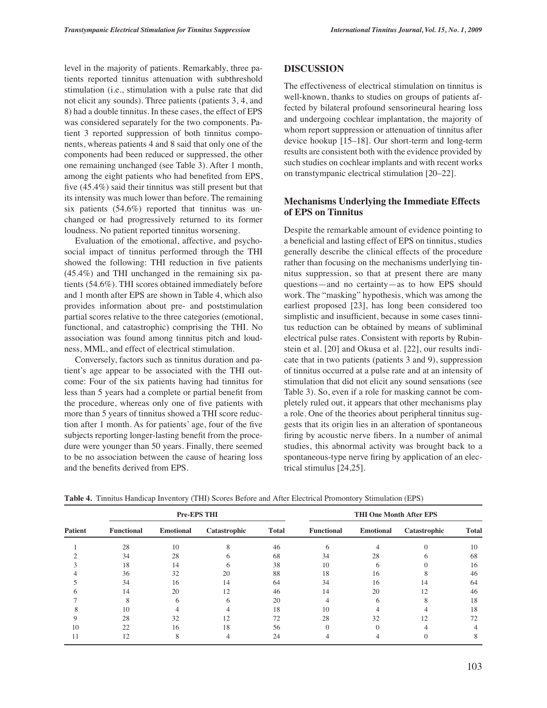level in the majority of patients. Remarkably, three patients reported tinnitus attenuation with subthreshold stimulation (i.e., stimulation with a pulse rate that did not elicit any sounds). Three patients (patients 3, 4, and 8) had a double tinnitus. In these cases, the effect of EPS was considered separately for the two components. Patient 3 reported suppression of both tinnitus components, whereas patients 4 and 8 said that only one of the components had been reduced or suppressed, the other one remaining unchanged (see Table 3). After 1 month, among the eight patients who had benefited from EPS, five (45.4%) said their tinnitus was still present but that its intensity was much lower than before. The remaining six patients (54.6%) reported that tinnitus was unchanged or had progressively returned to its former loudness. No patient reported tinnitus worsening.

Evaluation of the emotional, affective, and psychosocial impact of tinnitus performed through the THI showed the following: THI reduction in five patients (45.4%) and THI unchanged in the remaining six patients (54.6%). THI scores obtained immediately before and 1 month after EPS are shown in Table 4, which also provides information about pre- and poststimulation partial scores relative to the three categories (emotional, functional, and catastrophic) comprising the THI. No association was found among tinnitus pitch and loudness, MML, and effect of electrical stimulation.

Conversely, factors such as tinnitus duration and patient's age appear to be associated with the THI outcome: Four of the six patients having had tinnitus for less than 5 years had a complete or partial benefit from the procedure, whereas only one of five patients with more than 5 years of tinnitus showed a THI score reduction after 1 month. As for patients' age, four of the five subjects reporting longer-lasting benefit from the procedure were younger than 50 years. Finally, there seemed to be no association between the cause of hearing loss and the benefits derived from EPS.

# **DISCUSSION**

The effectiveness of electrical stimulation on tinnitus is well-known, thanks to studies on groups of patients affected by bilateral profound sensorineural hearing loss and undergoing cochlear implantation, the majority of whom report suppression or attenuation of tinnitus after device hookup [15–18]. Our short-term and long-term results are consistent both with the evidence provided by such studies on cochlear implants and with recent works on transtympanic electrical stimulation [20–22].

# **Mechanisms Underlying the Immediate Effects of EPS on Tinnitus**

Despite the remarkable amount of evidence pointing to a beneficial and lasting effect of EPS on tinnitus, studies generally describe the clinical effects of the procedure rather than focusing on the mechanisms underlying tinnitus suppression, so that at present there are many questions—and no certainty—as to how EPS should work. The "masking" hypothesis, which was among the earliest proposed [23], has long been considered too simplistic and insufficient, because in some cases tinnitus reduction can be obtained by means of subliminal electrical pulse rates. Consistent with reports by Rubinstein et al. [20] and Okusa et al. [22], our results indicate that in two patients (patients 3 and 9), suppression of tinnitus occurred at a pulse rate and at an intensity of stimulation that did not elicit any sound sensations (see Table 3). So, even if a role for masking cannot be completely ruled out, it appears that other mechanisms play a role. One of the theories about peripheral tinnitus suggests that its origin lies in an alteration of spontaneous firing by acoustic nerve fibers. In a number of animal studies, this abnormal activity was brought back to a spontaneous-type nerve firing by application of an electrical stimulus [24,25].

| <b>Patient</b> |                   | <b>Pre-EPS THI</b> |              | <b>THI One Month After EPS</b> |                   |                  |              |              |
|----------------|-------------------|--------------------|--------------|--------------------------------|-------------------|------------------|--------------|--------------|
|                | <b>Functional</b> | <b>Emotional</b>   | Catastrophic | <b>Total</b>                   | <b>Functional</b> | <b>Emotional</b> | Catastrophic | <b>Total</b> |
|                | 28                | 10                 |              | 46                             | <sub>6</sub>      |                  |              | 10           |
|                | 34                | 28                 |              | 68                             | 34                | 28               |              | 68           |
|                | 18                | 14                 | h            | 38                             | 10                | 6                |              | 16           |
|                | 36                | 32                 | 20           | 88                             | 18                | 16               |              | 46           |
|                | 34                | 16                 | 14           | 64                             | 34                | 16               | 14           | 64           |
|                | 14                | 20                 | 12           | 46                             | 14                | 20               | 12           | 46           |
|                |                   | 6                  | h            | 20                             |                   | 6                |              | 18           |
|                | 10                |                    |              | 18                             | 10                |                  |              | 18           |
|                | 28                | 32                 | 12           | 72                             | 28                | 32               | 12           | 72           |
| 10             | 22                | 16                 | 18           | 56                             |                   |                  |              |              |
|                |                   |                    |              | 24                             |                   |                  |              |              |

**Table 4.** Tinnitus Handicap Inventory (THI) Scores Before and After Electrical Promontory Stimulation (EPS)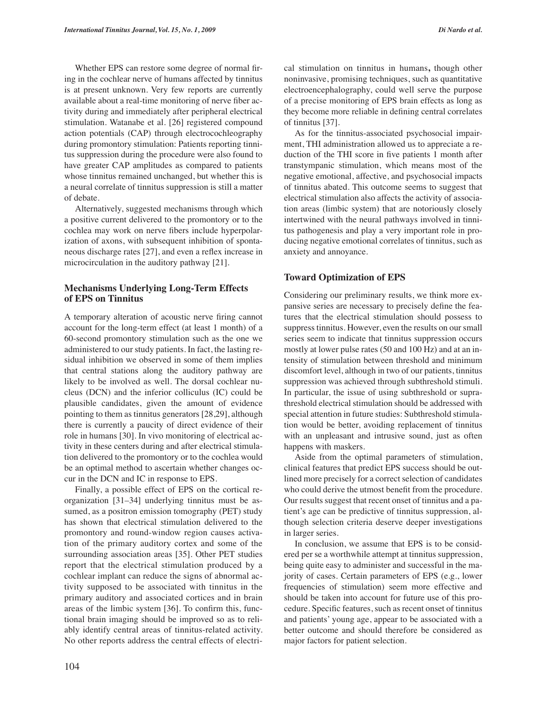Whether EPS can restore some degree of normal firing in the cochlear nerve of humans affected by tinnitus is at present unknown. Very few reports are currently available about a real-time monitoring of nerve fiber activity during and immediately after peripheral electrical stimulation. Watanabe et al. [26] registered compound action potentials (CAP) through electrocochleography during promontory stimulation: Patients reporting tinnitus suppression during the procedure were also found to have greater CAP amplitudes as compared to patients whose tinnitus remained unchanged, but whether this is a neural correlate of tinnitus suppression is still a matter of debate.

Alternatively, suggested mechanisms through which a positive current delivered to the promontory or to the cochlea may work on nerve fibers include hyperpolarization of axons, with subsequent inhibition of spontaneous discharge rates [27], and even a reflex increase in microcirculation in the auditory pathway [21].

### **Mechanisms Underlying Long-Term Effects of EPS on Tinnitus**

A temporary alteration of acoustic nerve firing cannot account for the long-term effect (at least 1 month) of a 60-second promontory stimulation such as the one we administered to our study patients. In fact, the lasting residual inhibition we observed in some of them implies that central stations along the auditory pathway are likely to be involved as well. The dorsal cochlear nucleus (DCN) and the inferior colliculus (IC) could be plausible candidates, given the amount of evidence pointing to them as tinnitus generators [28,29], although there is currently a paucity of direct evidence of their role in humans [30]. In vivo monitoring of electrical activity in these centers during and after electrical stimulation delivered to the promontory or to the cochlea would be an optimal method to ascertain whether changes occur in the DCN and IC in response to EPS.

Finally, a possible effect of EPS on the cortical reorganization [31–34] underlying tinnitus must be assumed, as a positron emission tomography (PET) study has shown that electrical stimulation delivered to the promontory and round-window region causes activation of the primary auditory cortex and some of the surrounding association areas [35]. Other PET studies report that the electrical stimulation produced by a cochlear implant can reduce the signs of abnormal activity supposed to be associated with tinnitus in the primary auditory and associated cortices and in brain areas of the limbic system [36]. To confirm this, functional brain imaging should be improved so as to reliably identify central areas of tinnitus-related activity. No other reports address the central effects of electrical stimulation on tinnitus in humans**,** though other noninvasive, promising techniques, such as quantitative electroencephalography, could well serve the purpose of a precise monitoring of EPS brain effects as long as they become more reliable in defining central correlates of tinnitus [37].

As for the tinnitus-associated psychosocial impairment, THI administration allowed us to appreciate a reduction of the THI score in five patients 1 month after transtympanic stimulation, which means most of the negative emotional, affective, and psychosocial impacts of tinnitus abated. This outcome seems to suggest that electrical stimulation also affects the activity of association areas (limbic system) that are notoriously closely intertwined with the neural pathways involved in tinnitus pathogenesis and play a very important role in producing negative emotional correlates of tinnitus, such as anxiety and annoyance.

#### **Toward Optimization of EPS**

Considering our preliminary results, we think more expansive series are necessary to precisely define the features that the electrical stimulation should possess to suppress tinnitus. However, even the results on our small series seem to indicate that tinnitus suppression occurs mostly at lower pulse rates (50 and 100 Hz) and at an intensity of stimulation between threshold and minimum discomfort level, although in two of our patients, tinnitus suppression was achieved through subthreshold stimuli. In particular, the issue of using subthreshold or suprathreshold electrical stimulation should be addressed with special attention in future studies: Subthreshold stimulation would be better, avoiding replacement of tinnitus with an unpleasant and intrusive sound, just as often happens with maskers.

Aside from the optimal parameters of stimulation, clinical features that predict EPS success should be outlined more precisely for a correct selection of candidates who could derive the utmost benefit from the procedure. Our results suggest that recent onset of tinnitus and a patient's age can be predictive of tinnitus suppression, although selection criteria deserve deeper investigations in larger series.

In conclusion, we assume that EPS is to be considered per se a worthwhile attempt at tinnitus suppression, being quite easy to administer and successful in the majority of cases. Certain parameters of EPS (e.g., lower frequencies of stimulation) seem more effective and should be taken into account for future use of this procedure. Specific features, such as recent onset of tinnitus and patients' young age, appear to be associated with a better outcome and should therefore be considered as major factors for patient selection.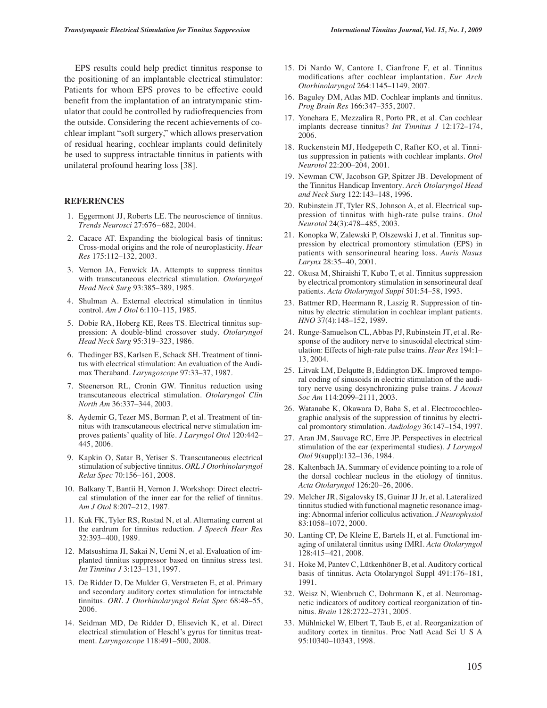EPS results could help predict tinnitus response to the positioning of an implantable electrical stimulator: Patients for whom EPS proves to be effective could benefit from the implantation of an intratympanic stimulator that could be controlled by radiofrequencies from the outside. Considering the recent achievements of cochlear implant "soft surgery," which allows preservation of residual hearing, cochlear implants could definitely be used to suppress intractable tinnitus in patients with unilateral profound hearing loss [38].

#### **REFERENCES**

- 1. Eggermont JJ, Roberts LE. The neuroscience of tinnitus. *Trends Neurosci* 27:676–682, 2004.
- 2. Cacace AT. Expanding the biological basis of tinnitus: Cross-modal origins and the role of neuroplasticity. *Hear Res* 175:112–132, 2003.
- 3. Vernon JA, Fenwick JA. Attempts to suppress tinnitus with transcutaneous electrical stimulation. *Otolaryngol Head Neck Surg* 93:385–389, 1985.
- 4. Shulman A. External electrical stimulation in tinnitus control. *Am J Otol* 6:110–115, 1985.
- 5. Dobie RA, Hoberg KE, Rees TS. Electrical tinnitus suppression: A double-blind crossover study. *Otolaryngol Head Neck Surg* 95:319–323, 1986.
- 6. Thedinger BS, Karlsen E, Schack SH. Treatment of tinnitus with electrical stimulation: An evaluation of the Audimax Theraband. *Laryngoscope* 97:33–37, 1987.
- 7. Steenerson RL, Cronin GW. Tinnitus reduction using transcutaneous electrical stimulation. *Otolaryngol Clin North Am* 36:337–344, 2003.
- 8. Aydemir G, Tezer MS, Borman P, et al. Treatment of tinnitus with transcutaneous electrical nerve stimulation improves patients' quality of life. *J Laryngol Otol* 120:442– 445, 2006.
- 9. Kapkin O, Satar B, Yetiser S. Transcutaneous electrical stimulation of subjective tinnitus. *ORL J Otorhinolaryngol Relat Spec* 70:156–161, 2008.
- 10. Balkany T, Bantii H, Vernon J. Workshop: Direct electrical stimulation of the inner ear for the relief of tinnitus. *Am J Otol* 8:207–212, 1987.
- 11. Kuk FK, Tyler RS, Rustad N, et al. Alternating current at the eardrum for tinnitus reduction. *J Speech Hear Res* 32:393–400, 1989.
- 12. Matsushima JI, Sakai N, Uemi N, et al. Evaluation of implanted tinnitus suppressor based on tinnitus stress test. *Int Tinnitus J* 3:123–131, 1997.
- 13. De Ridder D, De Mulder G, Verstraeten E, et al. Primary and secondary auditory cortex stimulation for intractable tinnitus. *ORL J Otorhinolaryngol Relat Spec* 68:48–55, 2006.
- 14. Seidman MD, De Ridder D, Elisevich K, et al. Direct electrical stimulation of Heschl's gyrus for tinnitus treatment. *Laryngoscope* 118:491–500, 2008.
- 15. Di Nardo W, Cantore I, Cianfrone F, et al. Tinnitus modifications after cochlear implantation. *Eur Arch Otorhinolaryngol* 264:1145–1149, 2007.
- 16. Baguley DM, Atlas MD. Cochlear implants and tinnitus. *Prog Brain Res* 166:347–355, 2007.
- 17. Yonehara E, Mezzalira R, Porto PR, et al. Can cochlear implants decrease tinnitus? *Int Tinnitus J* 12:172–174, 2006.
- 18. Ruckenstein MJ, Hedgepeth C, Rafter KO, et al. Tinnitus suppression in patients with cochlear implants. *Otol Neurotol* 22:200–204, 2001.
- 19. Newman CW, Jacobson GP, Spitzer JB. Development of the Tinnitus Handicap Inventory. *Arch Otolaryngol Head and Neck Surg* 122:143–148, 1996.
- 20. Rubinstein JT, Tyler RS, Johnson A, et al. Electrical suppression of tinnitus with high-rate pulse trains. *Otol Neurotol* 24(3):478–485, 2003.
- 21. Konopka W, Zalewski P, Olszewski J, et al. Tinnitus suppression by electrical promontory stimulation (EPS) in patients with sensorineural hearing loss. *Auris Nasus Larynx* 28:35–40, 2001.
- 22. Okusa M, Shiraishi T, Kubo T, et al. Tinnitus suppression by electrical promontory stimulation in sensorineural deaf patients. *Acta Otolaryngol Suppl* 501:54–58, 1993.
- 23. Battmer RD, Heermann R, Laszig R. Suppression of tinnitus by electric stimulation in cochlear implant patients. *HNO* 37(4):148–152, 1989.
- 24. Runge-Samuelson CL, Abbas PJ, Rubinstein JT, et al. Response of the auditory nerve to sinusoidal electrical stimulation: Effects of high-rate pulse trains. *Hear Res* 194:1– 13, 2004.
- 25. Litvak LM, Delqutte B, Eddington DK. Improved temporal coding of sinusoids in electric stimulation of the auditory nerve using desynchronizing pulse trains. *J Acoust Soc Am* 114:2099–2111, 2003.
- 26. Watanabe K, Okawara D, Baba S, et al. Electrocochleographic analysis of the suppression of tinnitus by electrical promontory stimulation. *Audiology* 36:147–154, 1997.
- 27. Aran JM, Sauvage RC, Erre JP. Perspectives in electrical stimulation of the ear (experimental studies). *J Laryngol Otol* 9(suppl):132–136, 1984.
- 28. Kaltenbach JA. Summary of evidence pointing to a role of the dorsal cochlear nucleus in the etiology of tinnitus. *Acta Otolaryngol* 126:20–26, 2006.
- 29. Melcher JR, Sigalovsky IS, Guinar JJ Jr, et al. Lateralized tinnitus studied with functional magnetic resonance imaging: Abnormal inferior colliculus activation. *J Neurophysiol* 83:1058–1072, 2000.
- 30. Lanting CP, De Kleine E, Bartels H, et al. Functional imaging of unilateral tinnitus using fMRI. *Acta Otolaryngol* 128:415–421, 2008.
- 31. Hoke M, Pantev C, Lütkenhöner B, et al. Auditory cortical basis of tinnitus. Acta Otolaryngol Suppl 491:176–181, 1991.
- 32. Weisz N, Wienbruch C, Dohrmann K, et al. Neuromagnetic indicators of auditory cortical reorganization of tinnitus. *Brain* 128:2722–2731, 2005.
- 33. Mühlnickel W, Elbert T, Taub E, et al. Reorganization of auditory cortex in tinnitus. Proc Natl Acad Sci U S A 95:10340–10343, 1998.